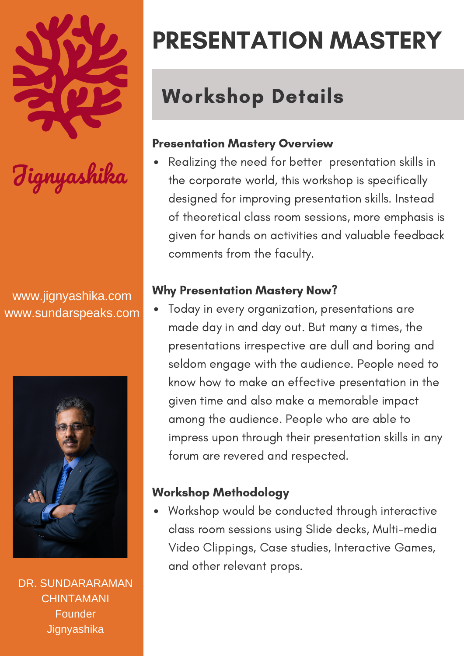

www.jignyashika.com www.sundarspeaks.com



DR. SUNDARARAMAN **CHINTAMANI** Founder **Jignyashika** 

## PRESENTATION MASTERY

### Workshop Details

#### Presentation Mastery Overview

Realizing the need for better presentation skills in the corporate world, this workshop is specifically designed for improving presentation skills. Instead of theoretical class room sessions, more emphasis is given for hands on activities and valuable feedback comments from the faculty.

#### Why Presentation Mastery Now?

Today in every organization, presentations are made day in and day out. But many a times, the presentations irrespective are dull and boring and seldom engage with the audience. People need to know how to make an effective presentation in the given time and also make a memorable impact among the audience. People who are able to impress upon through their presentation skills in any forum are revered and respected.

#### Workshop Methodology

Workshop would be conducted through interactive class room sessions using Slide decks, Multi-media Video Clippings, Case studies, Interactive Games, and other relevant props.